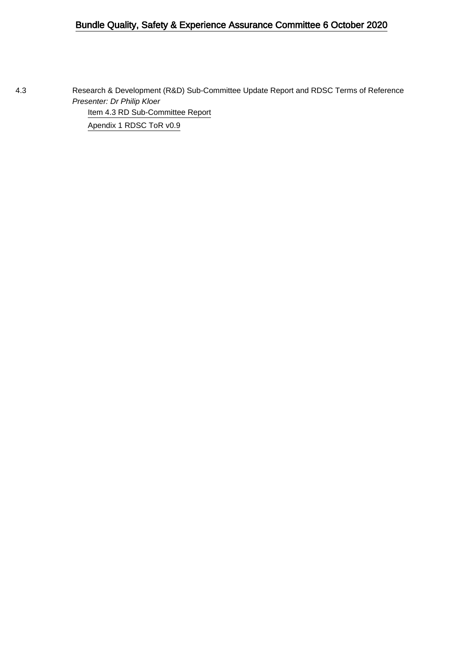## Bundle Quality, Safety & Experience Assurance Committee 6 October 2020

4.3 Research & Development (R&D) Sub-Committee Update Report and RDSC Terms of Reference Presenter: Dr Philip Kloer [Item 4.3 RD Sub-Committee Report](#page-1-0) [Apendix 1 RDSC ToR v0.9](#page-5-0)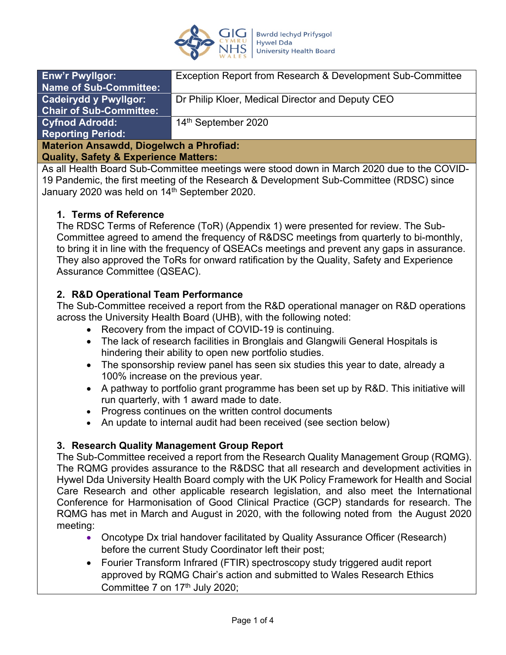

<span id="page-1-0"></span>

| <b>Enw'r Pwyllgor:</b>                         | Exception Report from Research & Development Sub-Committee |  |
|------------------------------------------------|------------------------------------------------------------|--|
| <b>Name of Sub-Committee:</b>                  |                                                            |  |
| <b>Cadeirydd y Pwyllgor:</b>                   | Dr Philip Kloer, Medical Director and Deputy CEO           |  |
| <b>Chair of Sub-Committee:</b>                 |                                                            |  |
| <b>Cyfnod Adrodd:</b>                          | 14 <sup>th</sup> September 2020                            |  |
| <b>Reporting Period:</b>                       |                                                            |  |
| <b>Materion Ansawdd, Diogelwch a Phrofiad:</b> |                                                            |  |

### **Quality, Safety & Experience Matters:**

As all Health Board Sub-Committee meetings were stood down in March 2020 due to the COVID-19 Pandemic, the first meeting of the Research & Development Sub-Committee (RDSC) since January 2020 was held on 14<sup>th</sup> September 2020.

## **1. Terms of Reference**

The RDSC Terms of Reference (ToR) (Appendix 1) were presented for review. The Sub-Committee agreed to amend the frequency of R&DSC meetings from quarterly to bi-monthly, to bring it in line with the frequency of QSEACs meetings and prevent any gaps in assurance. They also approved the ToRs for onward ratification by the Quality, Safety and Experience Assurance Committee (QSEAC).

## **2. R&D Operational Team Performance**

The Sub-Committee received a report from the R&D operational manager on R&D operations across the University Health Board (UHB), with the following noted:

- Recovery from the impact of COVID-19 is continuing.
- The lack of research facilities in Bronglais and Glangwili General Hospitals is hindering their ability to open new portfolio studies.
- The sponsorship review panel has seen six studies this year to date, already a 100% increase on the previous year.
- A pathway to portfolio grant programme has been set up by R&D. This initiative will run quarterly, with 1 award made to date.
- Progress continues on the written control documents
- An update to internal audit had been received (see section below)

## **3. Research Quality Management Group Report**

The Sub-Committee received a report from the Research Quality Management Group (RQMG). The RQMG provides assurance to the R&DSC that all research and development activities in Hywel Dda University Health Board comply with the UK Policy Framework for Health and Social Care Research and other applicable research legislation, and also meet the International Conference for Harmonisation of Good Clinical Practice (GCP) standards for research. The RQMG has met in March and August in 2020, with the following noted from the August 2020 meeting:

- Oncotype Dx trial handover facilitated by Quality Assurance Officer (Research) before the current Study Coordinator left their post;
- Fourier Transform Infrared (FTIR) spectroscopy study triggered audit report approved by RQMG Chair's action and submitted to Wales Research Ethics Committee 7 on 17<sup>th</sup> July 2020;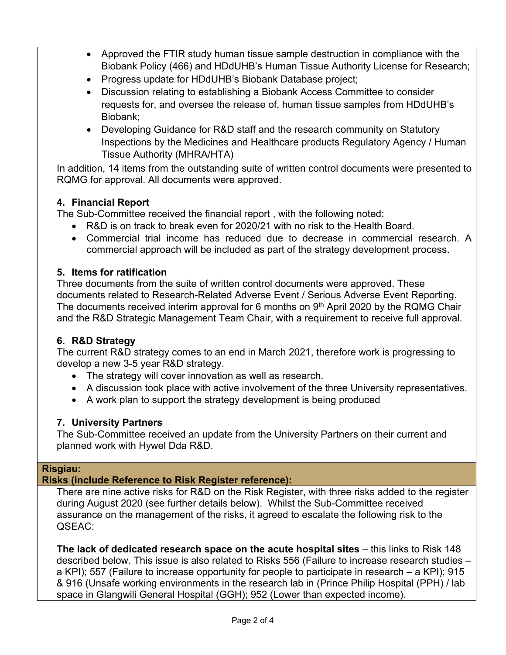- Approved the FTIR study human tissue sample destruction in compliance with the Biobank Policy (466) and HDdUHB's Human Tissue Authority License for Research;
- Progress update for HDdUHB's Biobank Database project;
- Discussion relating to establishing a Biobank Access Committee to consider requests for, and oversee the release of, human tissue samples from HDdUHB's Biobank;
- Developing Guidance for R&D staff and the research community on Statutory Inspections by the Medicines and Healthcare products Regulatory Agency / Human Tissue Authority (MHRA/HTA)

In addition, 14 items from the outstanding suite of written control documents were presented to RQMG for approval. All documents were approved.

# **4. Financial Report**

The Sub-Committee received the financial report , with the following noted:

- R&D is on track to break even for 2020/21 with no risk to the Health Board.
- Commercial trial income has reduced due to decrease in commercial research. A commercial approach will be included as part of the strategy development process.

## **5. Items for ratification**

Three documents from the suite of written control documents were approved. These documents related to Research-Related Adverse Event / Serious Adverse Event Reporting. The documents received interim approval for 6 months on  $9<sup>th</sup>$  April 2020 by the RQMG Chair and the R&D Strategic Management Team Chair, with a requirement to receive full approval.

# **6. R&D Strategy**

The current R&D strategy comes to an end in March 2021, therefore work is progressing to develop a new 3-5 year R&D strategy.

- The strategy will cover innovation as well as research.
- A discussion took place with active involvement of the three University representatives.
- A work plan to support the strategy development is being produced

# **7. University Partners**

The Sub-Committee received an update from the University Partners on their current and planned work with Hywel Dda R&D.

# **Risgiau:**

# **Risks (include Reference to Risk Register reference):**

There are nine active risks for R&D on the Risk Register, with three risks added to the register during August 2020 (see further details below). Whilst the Sub-Committee received assurance on the management of the risks, it agreed to escalate the following risk to the QSEAC:

**The lack of dedicated research space on the acute hospital sites** – this links to Risk 148 described below. This issue is also related to Risks 556 (Failure to increase research studies – a KPI); 557 (Failure to increase opportunity for people to participate in research – a KPI); 915 & 916 (Unsafe working environments in the research lab in (Prince Philip Hospital (PPH) / lab space in Glangwili General Hospital (GGH); 952 (Lower than expected income).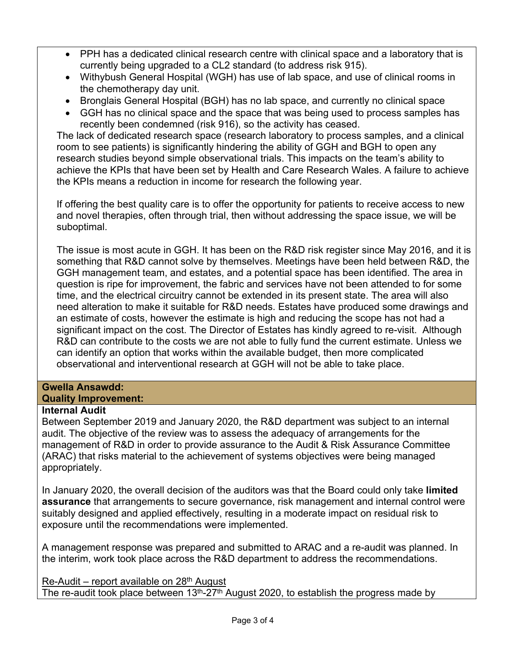- PPH has a dedicated clinical research centre with clinical space and a laboratory that is currently being upgraded to a CL2 standard (to address risk 915).
- Withybush General Hospital (WGH) has use of lab space, and use of clinical rooms in the chemotherapy day unit.
- Bronglais General Hospital (BGH) has no lab space, and currently no clinical space
- GGH has no clinical space and the space that was being used to process samples has recently been condemned (risk 916), so the activity has ceased.

The lack of dedicated research space (research laboratory to process samples, and a clinical room to see patients) is significantly hindering the ability of GGH and BGH to open any research studies beyond simple observational trials. This impacts on the team's ability to achieve the KPIs that have been set by Health and Care Research Wales. A failure to achieve the KPIs means a reduction in income for research the following year.

If offering the best quality care is to offer the opportunity for patients to receive access to new and novel therapies, often through trial, then without addressing the space issue, we will be suboptimal.

The issue is most acute in GGH. It has been on the R&D risk register since May 2016, and it is something that R&D cannot solve by themselves. Meetings have been held between R&D, the GGH management team, and estates, and a potential space has been identified. The area in question is ripe for improvement, the fabric and services have not been attended to for some time, and the electrical circuitry cannot be extended in its present state. The area will also need alteration to make it suitable for R&D needs. Estates have produced some drawings and an estimate of costs, however the estimate is high and reducing the scope has not had a significant impact on the cost. The Director of Estates has kindly agreed to re-visit. Although R&D can contribute to the costs we are not able to fully fund the current estimate. Unless we can identify an option that works within the available budget, then more complicated observational and interventional research at GGH will not be able to take place.

## **Gwella Ansawdd: Quality Improvement:**

## **Internal Audit**

Between September 2019 and January 2020, the R&D department was subject to an internal audit. The objective of the review was to assess the adequacy of arrangements for the management of R&D in order to provide assurance to the Audit & Risk Assurance Committee (ARAC) that risks material to the achievement of systems objectives were being managed appropriately.

In January 2020, the overall decision of the auditors was that the Board could only take **limited assurance** that arrangements to secure governance, risk management and internal control were suitably designed and applied effectively, resulting in a moderate impact on residual risk to exposure until the recommendations were implemented.

A management response was prepared and submitted to ARAC and a re-audit was planned. In the interim, work took place across the R&D department to address the recommendations.

 $Re$ -Audit – report available on 28<sup>th</sup> August The re-audit took place between  $13<sup>th</sup> - 27<sup>th</sup>$  August 2020, to establish the progress made by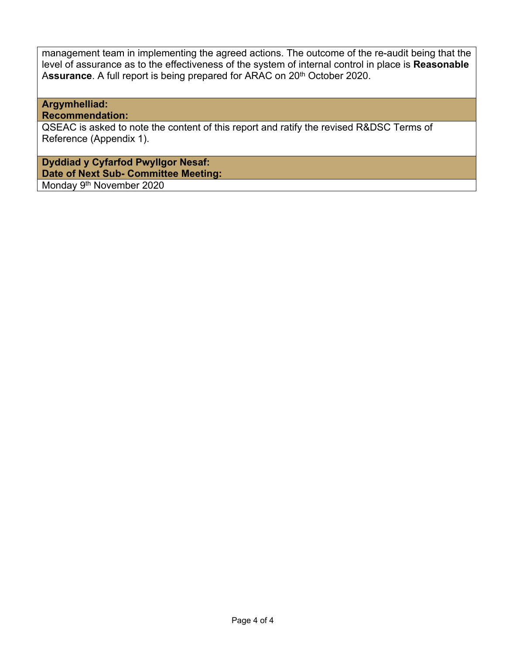management team in implementing the agreed actions. The outcome of the re-audit being that the level of assurance as to the effectiveness of the system of internal control in place is **Reasonable** Assurance. A full report is being prepared for ARAC on 20<sup>th</sup> October 2020.

### **Argymhelliad: Recommendation:**

QSEAC is asked to note the content of this report and ratify the revised R&DSC Terms of Reference (Appendix 1).

**Dyddiad y Cyfarfod Pwyllgor Nesaf: Date of Next Sub- Committee Meeting:** 

Monday 9<sup>th</sup> November 2020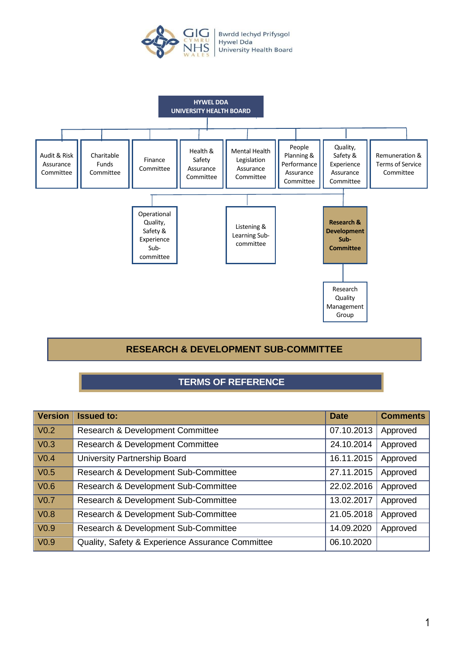

<span id="page-5-0"></span>

## **RESEARCH & DEVELOPMENT SUB-COMMITTEE**

# **TERMS OF REFERENCE**

| <b>Version</b>       | <b>Issued to:</b>                                | <b>Date</b> | <b>Comments</b> |
|----------------------|--------------------------------------------------|-------------|-----------------|
| $\sqrt{0.2}$         | Research & Development Committee                 | 07.10.2013  | Approved        |
| $\sqrt{\text{V0.3}}$ | Research & Development Committee                 | 24.10.2014  | Approved        |
| $\sqrt{0.4}$         | University Partnership Board                     | 16.11.2015  | Approved        |
| V <sub>0.5</sub>     | Research & Development Sub-Committee             | 27.11.2015  | Approved        |
| $\sqrt{0.6}$         | Research & Development Sub-Committee             | 22.02.2016  | Approved        |
| $\sqrt{\text{V0.7}}$ | Research & Development Sub-Committee             | 13.02.2017  | Approved        |
| $\sqrt{0.8}$         | Research & Development Sub-Committee             | 21.05.2018  | Approved        |
| $\sqrt{0.9}$         | Research & Development Sub-Committee             | 14.09.2020  | Approved        |
| $\sqrt{0.9}$         | Quality, Safety & Experience Assurance Committee | 06.10.2020  |                 |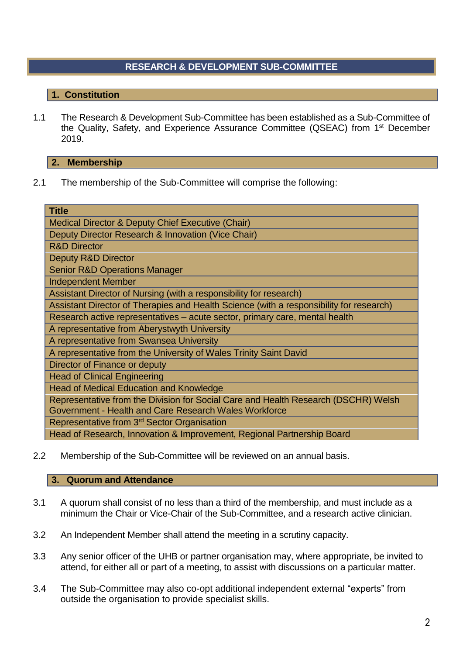# **RESEARCH & DEVELOPMENT SUB-COMMITTEE**

## **1. Constitution**

1.1 The Research & Development Sub-Committee has been established as a Sub-Committee of the Quality, Safety, and Experience Assurance Committee (QSEAC) from 1<sup>st</sup> December 2019.

### **2. Membership**

2.1 The membership of the Sub-Committee will comprise the following:

| <b>Title</b>                                                                            |  |  |
|-----------------------------------------------------------------------------------------|--|--|
| Medical Director & Deputy Chief Executive (Chair)                                       |  |  |
| Deputy Director Research & Innovation (Vice Chair)                                      |  |  |
| <b>R&amp;D Director</b>                                                                 |  |  |
| <b>Deputy R&amp;D Director</b>                                                          |  |  |
| <b>Senior R&amp;D Operations Manager</b>                                                |  |  |
| <b>Independent Member</b>                                                               |  |  |
| Assistant Director of Nursing (with a responsibility for research)                      |  |  |
| Assistant Director of Therapies and Health Science (with a responsibility for research) |  |  |
| Research active representatives - acute sector, primary care, mental health             |  |  |
| A representative from Aberystwyth University                                            |  |  |
| A representative from Swansea University                                                |  |  |
| A representative from the University of Wales Trinity Saint David                       |  |  |
| Director of Finance or deputy                                                           |  |  |
| <b>Head of Clinical Engineering</b>                                                     |  |  |
| <b>Head of Medical Education and Knowledge</b>                                          |  |  |
| Representative from the Division for Social Care and Health Research (DSCHR) Welsh      |  |  |
| Government - Health and Care Research Wales Workforce                                   |  |  |
| Representative from 3 <sup>rd</sup> Sector Organisation                                 |  |  |
| Head of Research, Innovation & Improvement, Regional Partnership Board                  |  |  |

2.2 Membership of the Sub-Committee will be reviewed on an annual basis.

### **3. Quorum and Attendance**

- 3.1 A quorum shall consist of no less than a third of the membership, and must include as a minimum the Chair or Vice-Chair of the Sub-Committee, and a research active clinician.
- 3.2 An Independent Member shall attend the meeting in a scrutiny capacity.
- 3.3 Any senior officer of the UHB or partner organisation may, where appropriate, be invited to attend, for either all or part of a meeting, to assist with discussions on a particular matter.
- 3.4 The Sub-Committee may also co-opt additional independent external "experts" from outside the organisation to provide specialist skills.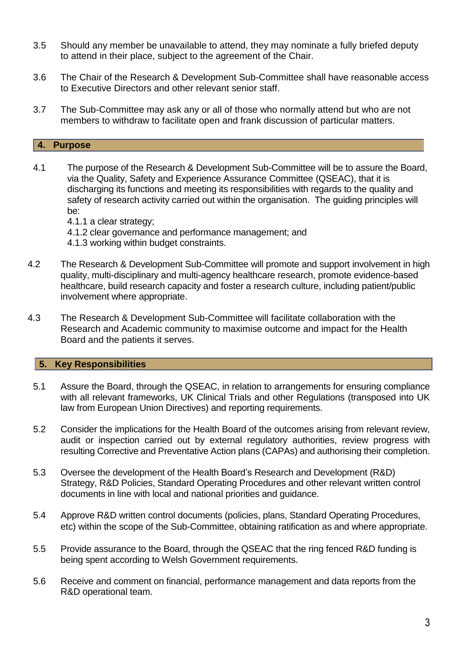- 3.5 Should any member be unavailable to attend, they may nominate a fully briefed deputy to attend in their place, subject to the agreement of the Chair.
- 3.6 The Chair of the Research & Development Sub-Committee shall have reasonable access to Executive Directors and other relevant senior staff.
- 3.7 The Sub-Committee may ask any or all of those who normally attend but who are not members to withdraw to facilitate open and frank discussion of particular matters.

## **4. Purpose**

- 4.1 The purpose of the Research & Development Sub-Committee will be to assure the Board, via the Quality, Safety and Experience Assurance Committee (QSEAC), that it is discharging its functions and meeting its responsibilities with regards to the quality and safety of research activity carried out within the organisation. The guiding principles will be:
	- 4.1.1 a clear strategy;
	- 4.1.2 clear governance and performance management; and
	- 4.1.3 working within budget constraints.
- 4.2 The Research & Development Sub-Committee will promote and support involvement in high quality, multi-disciplinary and multi-agency healthcare research, promote evidence-based healthcare, build research capacity and foster a research culture, including patient/public involvement where appropriate.
- 4.3 The Research & Development Sub-Committee will facilitate collaboration with the Research and Academic community to maximise outcome and impact for the Health Board and the patients it serves.

## **5. Key Responsibilities**

- 5.1 Assure the Board, through the QSEAC, in relation to arrangements for ensuring compliance with all relevant frameworks, UK Clinical Trials and other Regulations (transposed into UK law from European Union Directives) and reporting requirements.
- 5.2 Consider the implications for the Health Board of the outcomes arising from relevant review, audit or inspection carried out by external regulatory authorities, review progress with resulting Corrective and Preventative Action plans (CAPAs) and authorising their completion.
- 5.3 Oversee the development of the Health Board's Research and Development (R&D) Strategy, R&D Policies, Standard Operating Procedures and other relevant written control documents in line with local and national priorities and guidance.
- 5.4 Approve R&D written control documents (policies, plans, Standard Operating Procedures, etc) within the scope of the Sub-Committee, obtaining ratification as and where appropriate.
- 5.5 Provide assurance to the Board, through the QSEAC that the ring fenced R&D funding is being spent according to Welsh Government requirements.
- 5.6 Receive and comment on financial, performance management and data reports from the R&D operational team.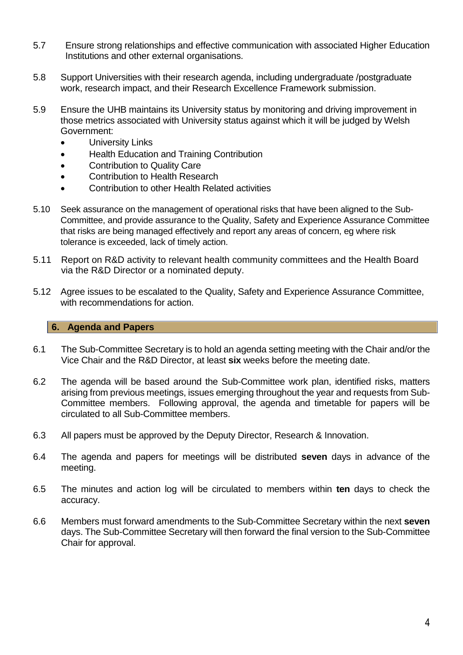- 5.7 Ensure strong relationships and effective communication with associated Higher Education Institutions and other external organisations.
- 5.8 Support Universities with their research agenda, including undergraduate /postgraduate work, research impact, and their Research Excellence Framework submission.
- 5.9 Ensure the UHB maintains its University status by monitoring and driving improvement in those metrics associated with University status against which it will be judged by Welsh Government:
	- **•** University Links
	- Health Education and Training Contribution
	- Contribution to Quality Care
	- Contribution to Health Research
	- Contribution to other Health Related activities
- 5.10 Seek assurance on the management of operational risks that have been aligned to the Sub-Committee, and provide assurance to the Quality, Safety and Experience Assurance Committee that risks are being managed effectively and report any areas of concern, eg where risk tolerance is exceeded, lack of timely action.
- 5.11 Report on R&D activity to relevant health community committees and the Health Board via the R&D Director or a nominated deputy.
- 5.12 Agree issues to be escalated to the Quality, Safety and Experience Assurance Committee, with recommendations for action.

### **6. Agenda and Papers**

- 6.1 The Sub-Committee Secretary is to hold an agenda setting meeting with the Chair and/or the Vice Chair and the R&D Director, at least **six** weeks before the meeting date.
- 6.2 The agenda will be based around the Sub-Committee work plan, identified risks, matters arising from previous meetings, issues emerging throughout the year and requests from Sub-Committee members. Following approval, the agenda and timetable for papers will be circulated to all Sub-Committee members.
- 6.3 All papers must be approved by the Deputy Director, Research & Innovation.
- 6.4 The agenda and papers for meetings will be distributed **seven** days in advance of the meeting.
- 6.5 The minutes and action log will be circulated to members within **ten** days to check the accuracy.
- 6.6 Members must forward amendments to the Sub-Committee Secretary within the next **seven** days. The Sub-Committee Secretary will then forward the final version to the Sub-Committee Chair for approval.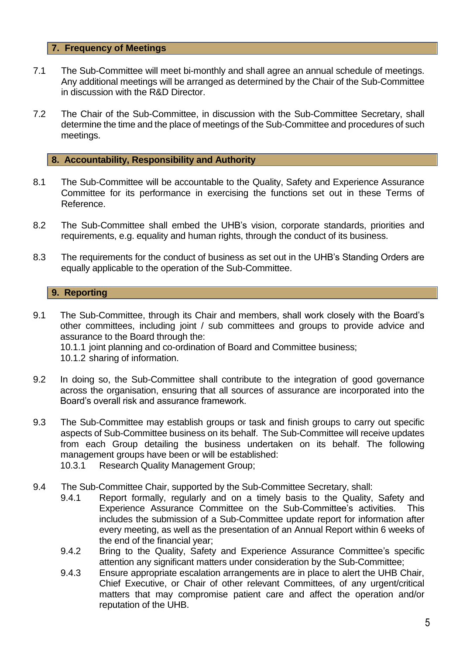## **7. Frequency of Meetings**

- 7.1 The Sub-Committee will meet bi-monthly and shall agree an annual schedule of meetings. Any additional meetings will be arranged as determined by the Chair of the Sub-Committee in discussion with the R&D Director.
- 7.2 The Chair of the Sub-Committee, in discussion with the Sub-Committee Secretary, shall determine the time and the place of meetings of the Sub-Committee and procedures of such meetings.

### **8. Accountability, Responsibility and Authority**

- 8.1 The Sub-Committee will be accountable to the Quality, Safety and Experience Assurance Committee for its performance in exercising the functions set out in these Terms of Reference.
- 8.2 The Sub-Committee shall embed the UHB's vision, corporate standards, priorities and requirements, e.g. equality and human rights, through the conduct of its business.
- 8.3 The requirements for the conduct of business as set out in the UHB's Standing Orders are equally applicable to the operation of the Sub-Committee.

### **9. Reporting**

- 9.1 The Sub-Committee, through its Chair and members, shall work closely with the Board's other committees, including joint / sub committees and groups to provide advice and assurance to the Board through the: 10.1.1 joint planning and co-ordination of Board and Committee business; 10.1.2 sharing of information.
- 9.2 In doing so, the Sub-Committee shall contribute to the integration of good governance across the organisation, ensuring that all sources of assurance are incorporated into the Board's overall risk and assurance framework.
- 9.3 The Sub-Committee may establish groups or task and finish groups to carry out specific aspects of Sub-Committee business on its behalf. The Sub-Committee will receive updates from each Group detailing the business undertaken on its behalf. The following management groups have been or will be established:
	- 10.3.1 Research Quality Management Group;
- 9.4 The Sub-Committee Chair, supported by the Sub-Committee Secretary, shall:
	- 9.4.1 Report formally, regularly and on a timely basis to the Quality, Safety and Experience Assurance Committee on the Sub-Committee's activities. This includes the submission of a Sub-Committee update report for information after every meeting, as well as the presentation of an Annual Report within 6 weeks of the end of the financial year;
	- 9.4.2 Bring to the Quality, Safety and Experience Assurance Committee's specific attention any significant matters under consideration by the Sub-Committee;
	- 9.4.3 Ensure appropriate escalation arrangements are in place to alert the UHB Chair, Chief Executive, or Chair of other relevant Committees, of any urgent/critical matters that may compromise patient care and affect the operation and/or reputation of the UHB.